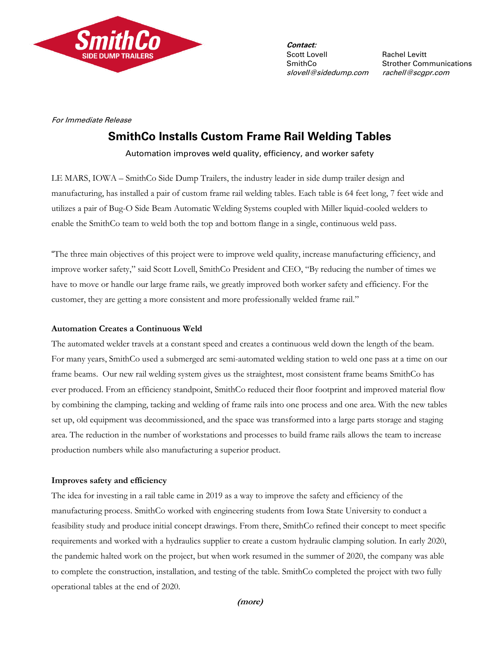

**Contact:** Scott Lovell Rachel Levitt slovell@sidedump.com rachell@scgpr.com

SmithCo Strother Communications

For Immediate Release

# **SmithCo Installs Custom Frame Rail Welding Tables**

Automation improves weld quality, efficiency, and worker safety

LE MARS, IOWA – SmithCo Side Dump Trailers, the industry leader in side dump trailer design and manufacturing, has installed a pair of custom frame rail welding tables. Each table is 64 feet long, 7 feet wide and utilizes a pair of Bug-O Side Beam Automatic Welding Systems coupled with Miller liquid-cooled welders to enable the SmithCo team to weld both the top and bottom flange in a single, continuous weld pass.

"The three main objectives of this project were to improve weld quality, increase manufacturing efficiency, and improve worker safety," said Scott Lovell, SmithCo President and CEO, "By reducing the number of times we have to move or handle our large frame rails, we greatly improved both worker safety and efficiency. For the customer, they are getting a more consistent and more professionally welded frame rail."

### **Automation Creates a Continuous Weld**

The automated welder travels at a constant speed and creates a continuous weld down the length of the beam. For many years, SmithCo used a submerged arc semi-automated welding station to weld one pass at a time on our frame beams. Our new rail welding system gives us the straightest, most consistent frame beams SmithCo has ever produced. From an efficiency standpoint, SmithCo reduced their floor footprint and improved material flow by combining the clamping, tacking and welding of frame rails into one process and one area. With the new tables set up, old equipment was decommissioned, and the space was transformed into a large parts storage and staging area. The reduction in the number of workstations and processes to build frame rails allows the team to increase production numbers while also manufacturing a superior product.

# **Improves safety and efficiency**

The idea for investing in a rail table came in 2019 as a way to improve the safety and efficiency of the manufacturing process. SmithCo worked with engineering students from Iowa State University to conduct a feasibility study and produce initial concept drawings. From there, SmithCo refined their concept to meet specific requirements and worked with a hydraulics supplier to create a custom hydraulic clamping solution. In early 2020, the pandemic halted work on the project, but when work resumed in the summer of 2020, the company was able to complete the construction, installation, and testing of the table. SmithCo completed the project with two fully operational tables at the end of 2020.